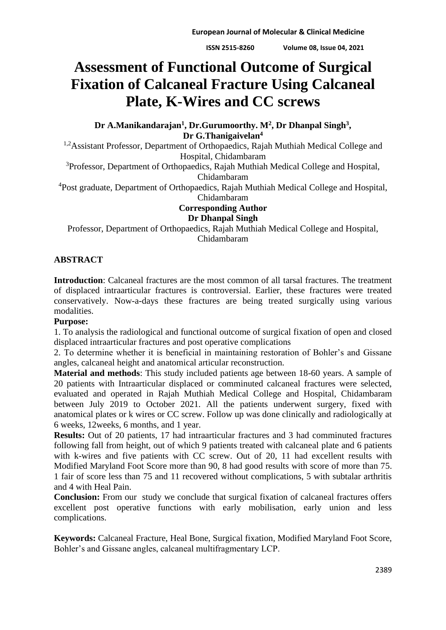# **Assessment of Functional Outcome of Surgical Fixation of Calcaneal Fracture Using Calcaneal Plate, K-Wires and CC screws**

**Dr A.Manikandarajan<sup>1</sup> , Dr.Gurumoorthy. M<sup>2</sup> , Dr Dhanpal Singh<sup>3</sup> , Dr G.Thanigaivelan<sup>4</sup>**

<sup>1,2</sup>Assistant Professor, Department of Orthopaedics, Rajah Muthiah Medical College and Hospital, Chidambaram

<sup>3</sup>Professor, Department of Orthopaedics, Rajah Muthiah Medical College and Hospital, Chidambaram

<sup>4</sup>Post graduate, Department of Orthopaedics, Rajah Muthiah Medical College and Hospital, Chidambaram

## **Corresponding Author Dr Dhanpal Singh**

Professor, Department of Orthopaedics, Rajah Muthiah Medical College and Hospital, Chidambaram

## **ABSTRACT**

**Introduction**: Calcaneal fractures are the most common of all tarsal fractures. The treatment of displaced intraarticular fractures is controversial. Earlier, these fractures were treated conservatively. Now-a-days these fractures are being treated surgically using various modalities.

## **Purpose:**

1. To analysis the radiological and functional outcome of surgical fixation of open and closed displaced intraarticular fractures and post operative complications

2. To determine whether it is beneficial in maintaining restoration of Bohler's and Gissane angles, calcaneal height and anatomical articular reconstruction.

**Material and methods**: This study included patients age between 18-60 years. A sample of 20 patients with Intraarticular displaced or comminuted calcaneal fractures were selected, evaluated and operated in Rajah Muthiah Medical College and Hospital, Chidambaram between July 2019 to October 2021. All the patients underwent surgery, fixed with anatomical plates or k wires or CC screw. Follow up was done clinically and radiologically at 6 weeks, 12weeks, 6 months, and 1 year.

**Results:** Out of 20 patients, 17 had intraarticular fractures and 3 had comminuted fractures following fall from height, out of which 9 patients treated with calcaneal plate and 6 patients with k-wires and five patients with CC screw. Out of 20, 11 had excellent results with Modified Maryland Foot Score more than 90, 8 had good results with score of more than 75. 1 fair of score less than 75 and 11 recovered without complications, 5 with subtalar arthritis and 4 with Heal Pain.

**Conclusion:** From our study we conclude that surgical fixation of calcaneal fractures offers excellent post operative functions with early mobilisation, early union and less complications.

**Keywords:** Calcaneal Fracture, Heal Bone, Surgical fixation, Modified Maryland Foot Score, Bohler's and Gissane angles, calcaneal multifragmentary LCP.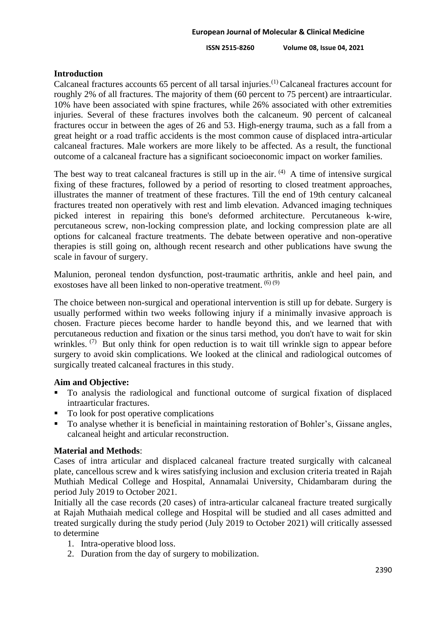**ISSN 2515-8260 Volume 08, Issue 04, 2021**

## **Introduction**

Calcaneal fractures accounts 65 percent of all tarsal injuries.(1) Calcaneal fractures account for roughly 2% of all fractures. The majority of them (60 percent to 75 percent) are intraarticular. 10% have been associated with spine fractures, while 26% associated with other extremities injuries. Several of these fractures involves both the calcaneum. 90 percent of calcaneal fractures occur in between the ages of 26 and 53. High-energy trauma, such as a fall from a great height or a road traffic accidents is the most common cause of displaced intra-articular calcaneal fractures. Male workers are more likely to be affected. As a result, the functional outcome of a calcaneal fracture has a significant socioeconomic impact on worker families.

The best way to treat calcaneal fractures is still up in the air.  $(4)$  A time of intensive surgical fixing of these fractures, followed by a period of resorting to closed treatment approaches, illustrates the manner of treatment of these fractures. Till the end of 19th century calcaneal fractures treated non operatively with rest and limb elevation. Advanced imaging techniques picked interest in repairing this bone's deformed architecture. Percutaneous k-wire, percutaneous screw, non-locking compression plate, and locking compression plate are all options for calcaneal fracture treatments. The debate between operative and non-operative therapies is still going on, although recent research and other publications have swung the scale in favour of surgery.

Malunion, peroneal tendon dysfunction, post-traumatic arthritis, ankle and heel pain, and exostoses have all been linked to non-operative treatment.  $(6)(9)$ 

The choice between non-surgical and operational intervention is still up for debate. Surgery is usually performed within two weeks following injury if a minimally invasive approach is chosen. Fracture pieces become harder to handle beyond this, and we learned that with percutaneous reduction and fixation or the sinus tarsi method, you don't have to wait for skin wrinkles. <sup>(7)</sup> But only think for open reduction is to wait till wrinkle sign to appear before surgery to avoid skin complications. We looked at the clinical and radiological outcomes of surgically treated calcaneal fractures in this study.

## **Aim and Objective:**

- To analysis the radiological and functional outcome of surgical fixation of displaced intraarticular fractures.
- To look for post operative complications
- To analyse whether it is beneficial in maintaining restoration of Bohler's, Gissane angles, calcaneal height and articular reconstruction.

## **Material and Methods**:

Cases of intra articular and displaced calcaneal fracture treated surgically with calcaneal plate, cancellous screw and k wires satisfying inclusion and exclusion criteria treated in Rajah Muthiah Medical College and Hospital, Annamalai University, Chidambaram during the period July 2019 to October 2021.

Initially all the case records (20 cases) of intra-articular calcaneal fracture treated surgically at Rajah Muthaiah medical college and Hospital will be studied and all cases admitted and treated surgically during the study period (July 2019 to October 2021) will critically assessed to determine

- 1. Intra-operative blood loss.
- 2. Duration from the day of surgery to mobilization.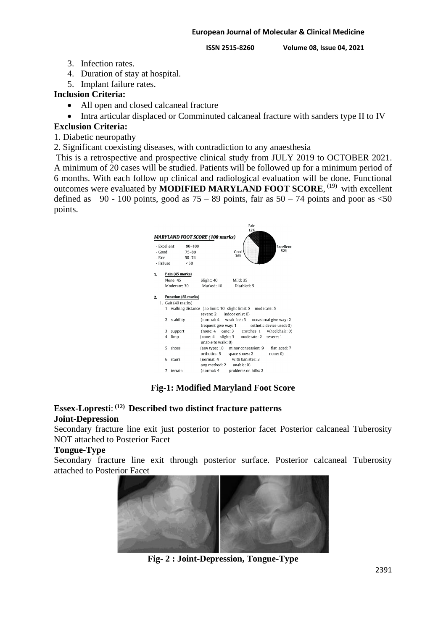**ISSN 2515-8260 Volume 08, Issue 04, 2021**

- 3. Infection rates.
- 4. Duration of stay at hospital.
- 5. Implant failure rates.

## **Inclusion Criteria:**

- All open and closed calcaneal fracture
- Intra articular displaced or Comminuted calcaneal fracture with sanders type II to IV

## **Exclusion Criteria:**

- 1. Diabetic neuropathy
- 2. Significant coexisting diseases, with contradiction to any anaesthesia

This is a retrospective and prospective clinical study from JULY 2019 to OCTOBER 2021. A minimum of 20 cases will be studied. Patients will be followed up for a minimum period of 6 months. With each follow up clinical and radiological evaluation will be done. Functional outcomes were evaluated by **MODIFIED MARYLAND FOOT SCORE**, <sup>(19)</sup> with excellent defined as 90 - 100 points, good as  $75 - 89$  points, fair as  $50 - 74$  points and poor as  $\leq 50$ points.



## **Fig-1: Modified Maryland Foot Score**

## **Essex-Lopresti**: **(12) Described two distinct fracture patterns Joint-Depression**

Secondary fracture line exit just posterior to posterior facet Posterior calcaneal Tuberosity NOT attached to Posterior Facet

## **Tongue-Type**

Secondary fracture line exit through posterior surface. Posterior calcaneal Tuberosity attached to Posterior Facet



**Fig- 2 : Joint-Depression, Tongue-Type**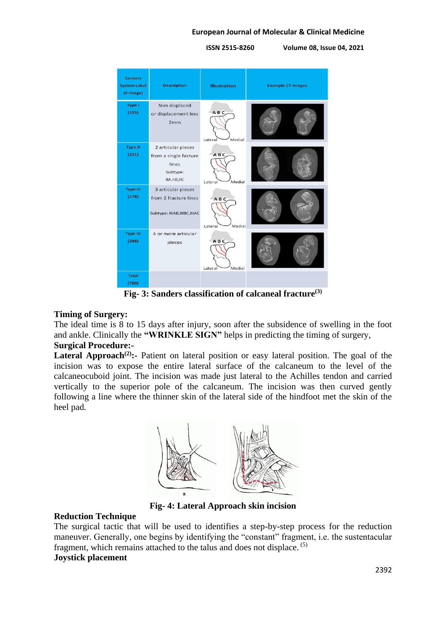**ISSN 2515-8260 Volume 08, Issue 04, 2021**



**Fig- 3: Sanders classification of calcaneal fracture(3)**

## **Timing of Surgery:**

The ideal time is 8 to 15 days after injury, soon after the subsidence of swelling in the foot and ankle. Clinically the **"WRINKLE SIGN"** helps in predicting the timing of surgery,

## **Surgical Procedure:-**

Lateral Approach<sup>(2)</sup>: Patient on lateral position or easy lateral position. The goal of the incision was to expose the entire lateral surface of the calcaneum to the level of the calcaneocuboid joint. The incision was made just lateral to the Achilles tendon and carried vertically to the superior pole of the calcaneum. The incision was then curved gently following a line where the thinner skin of the lateral side of the hindfoot met the skin of the heel pad.



**Fig- 4: Lateral Approach skin incision**

## **Reduction Technique**

The surgical tactic that will be used to identifies a step-by-step process for the reduction maneuver. Generally, one begins by identifying the "constant" fragment, i.e. the sustentacular fragment, which remains attached to the talus and does not displace. (5)

## **Joystick placement**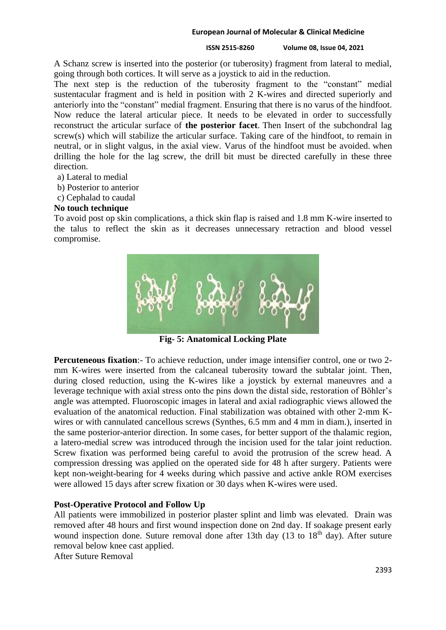## **ISSN 2515-8260 Volume 08, Issue 04, 2021**

A Schanz screw is inserted into the posterior (or tuberosity) fragment from lateral to medial, going through both cortices. It will serve as a joystick to aid in the reduction.

The next step is the reduction of the tuberosity fragment to the "constant" medial sustentacular fragment and is held in position with 2 K-wires and directed superiorly and anteriorly into the "constant" medial fragment. Ensuring that there is no varus of the hindfoot. Now reduce the lateral articular piece. It needs to be elevated in order to successfully reconstruct the articular surface of **the posterior facet**. Then Insert of the subchondral lag screw(s) which will stabilize the articular surface. Taking care of the hindfoot, to remain in neutral, or in slight valgus, in the axial view. Varus of the hindfoot must be avoided. when drilling the hole for the lag screw, the drill bit must be directed carefully in these three direction.

- a) Lateral to medial
- b) Posterior to anterior
- c) Cephalad to caudal

## **No touch technique**

To avoid post op skin complications, a thick skin flap is raised and 1.8 mm K-wire inserted to the talus to reflect the skin as it decreases unnecessary retraction and blood vessel compromise.



**Fig- 5: Anatomical Locking Plate**

**Percuteneous fixation**:- To achieve reduction, under image intensifier control, one or two 2 mm K-wires were inserted from the calcaneal tuberosity toward the subtalar joint. Then, during closed reduction, using the K-wires like a joystick by external maneuvres and a leverage technique with axial stress onto the pins down the distal side, restoration of Böhler's angle was attempted. Fluoroscopic images in lateral and axial radiographic views allowed the evaluation of the anatomical reduction. Final stabilization was obtained with other 2-mm Kwires or with cannulated cancellous screws (Synthes, 6.5 mm and 4 mm in diam.), inserted in the same posterior-anterior direction. In some cases, for better support of the thalamic region, a latero-medial screw was introduced through the incision used for the talar joint reduction. Screw fixation was performed being careful to avoid the protrusion of the screw head. A compression dressing was applied on the operated side for 48 h after surgery. Patients were kept non-weight-bearing for 4 weeks during which passive and active ankle ROM exercises were allowed 15 days after screw fixation or 30 days when K-wires were used.

## **Post-Operative Protocol and Follow Up**

All patients were immobilized in posterior plaster splint and limb was elevated. Drain was removed after 48 hours and first wound inspection done on 2nd day. If soakage present early wound inspection done. Suture removal done after 13th day (13 to 18<sup>th</sup> day). After suture removal below knee cast applied.

After Suture Removal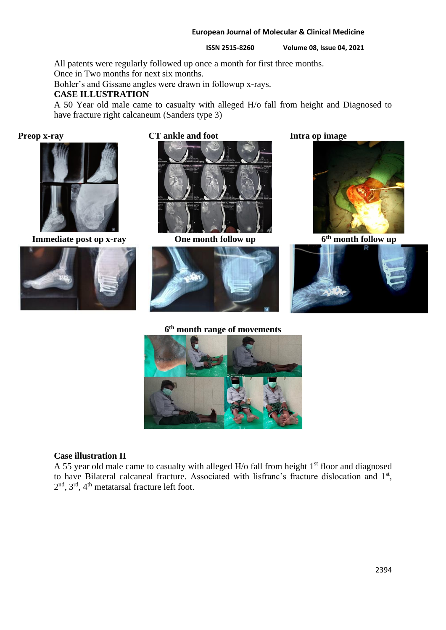**ISSN 2515-8260 Volume 08, Issue 04, 2021**

All patents were regularly followed up once a month for first three months.

Once in Two months for next six months.

Bohler's and Gissane angles were drawn in followup x-rays.

## **CASE ILLUSTRATION**

A 50 Year old male came to casualty with alleged H/o fall from height and Diagnosed to have fracture right calcaneum (Sanders type 3)



**Immediate post op x-ray 6** One month follow up



## **Preop x-ray CT ankle and foot Intra op image**





**6 th month range of movements**





**th month follow up**





## **Case illustration II**

A 55 year old male came to casualty with alleged  $H$ /o fall from height  $1<sup>st</sup>$  floor and diagnosed to have Bilateral calcaneal fracture. Associated with lisfranc's fracture dislocation and 1<sup>st</sup>, 2<sup>nd</sup>, 3<sup>rd</sup>, 4<sup>th</sup> metatarsal fracture left foot.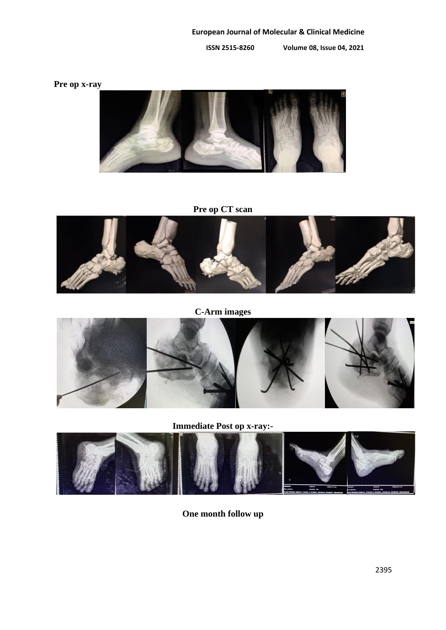**ISSN 2515-8260 Volume 08, Issue 04, 2021**

**Pre op x-ray**



**Pre op CT scan**



**C-Arm images**



**Immediate Post op x-ray:-**



**One month follow up**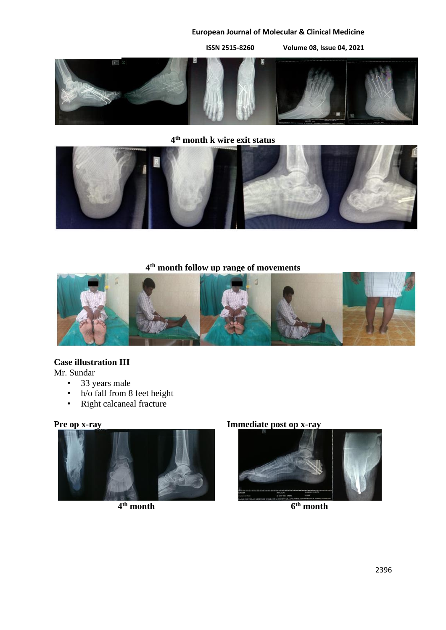**ISSN 2515-8260 Volume 08, Issue 04, 2021**



**4 th month k wire exit status**



**4 th month follow up range of movements**



## **Case illustration III**

Mr. Sundar

- 33 years male
- h/o fall from 8 feet height
- Right calcaneal fracture



**4 th month 6**

## **Pre op x-ray Immediate post op x-ray**



**th month**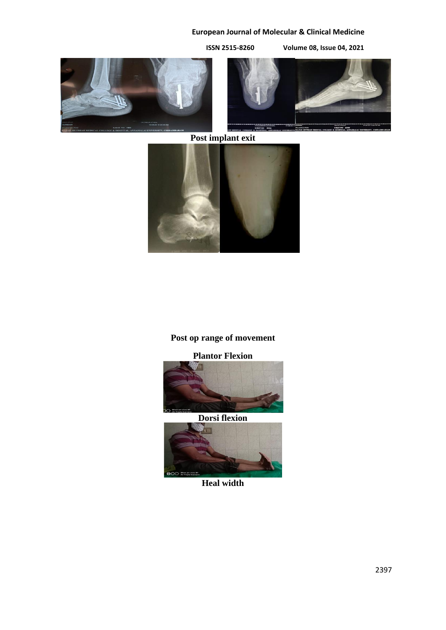**ISSN 2515-8260 Volume 08, Issue 04, 2021**





**Post implant exit**



## **Post op range of movement**

## **Plantor Flexion**



## **Dorsi flexion**



## **Heal width**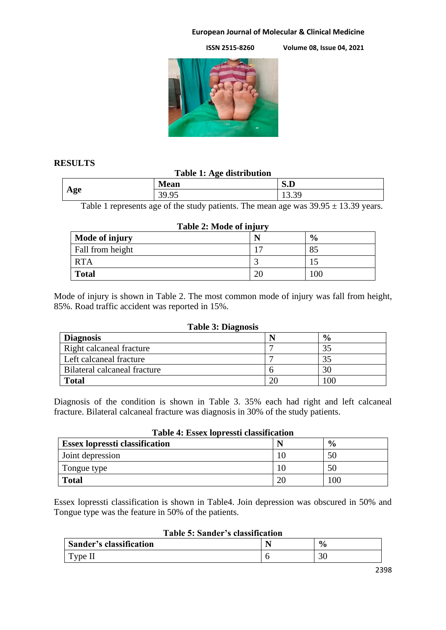**ISSN 2515-8260 Volume 08, Issue 04, 2021**



## **RESULTS**

## **Table 1: Age distribution**

| Age | <b>Mean</b>                   | $\alpha$ m<br>5. U |  |
|-----|-------------------------------|--------------------|--|
|     | 30<br>$\alpha$<br><i>.,,,</i> | 10.J               |  |

Table 1 represents age of the study patients. The mean age was  $39.95 \pm 13.39$  years.

## **Table 2: Mode of injury**

| Mode of injury   |                | $\frac{6}{9}$ |
|------------------|----------------|---------------|
| Fall from height | $\overline{ }$ |               |
| <b>RTA</b>       |                |               |
| <b>Total</b>     |                | 100           |

Mode of injury is shown in Table 2. The most common mode of injury was fall from height, 85%. Road traffic accident was reported in 15%.

## **Table 3: Diagnosis**

| <b>Diagnosis</b>             |          | $\frac{6}{6}$ |
|------------------------------|----------|---------------|
| Right calcaneal fracture     |          | 35            |
| Left calcaneal fracture      |          |               |
| Bilateral calcaneal fracture |          | 30            |
| <b>Total</b>                 | $\gamma$ | $00^{\circ}$  |

Diagnosis of the condition is shown in Table 3. 35% each had right and left calcaneal fracture. Bilateral calcaneal fracture was diagnosis in 30% of the study patients.

## **Table 4: Essex lopressti classification**

| <b>Essex lopressti classification</b> |    | $\frac{6}{9}$ |
|---------------------------------------|----|---------------|
| Joint depression                      |    | 50            |
| Tongue type                           |    | 50            |
| <b>Total</b>                          | 20 | 100           |

Essex lopressti classification is shown in Table4. Join depression was obscured in 50% and Tongue type was the feature in 50% of the patients.

## **Table 5: Sander's classification**

| <b>Sander's classification</b> | 0.<br>70      |
|--------------------------------|---------------|
| —<br>vne                       | $\sim$<br>JU. |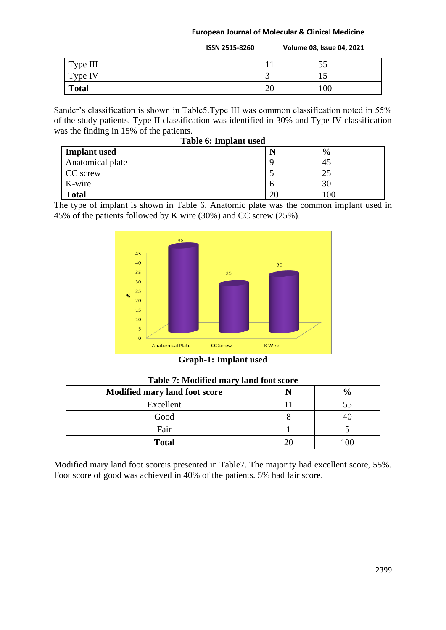|              | <b>ISSN 2515-8260</b> |    | <b>Volume 08, Issue 04, 2021</b> |
|--------------|-----------------------|----|----------------------------------|
| Type III     |                       |    | 55                               |
| Type IV      |                       |    | 15                               |
| <b>Total</b> |                       | 20 | 100                              |

Sander's classification is shown in Table5.Type III was common classification noted in 55% of the study patients. Type II classification was identified in 30% and Type IV classification was the finding in 15% of the patients.

| Table 6: Implant used |    |               |  |  |
|-----------------------|----|---------------|--|--|
| <b>Implant</b> used   | N  | $\frac{6}{6}$ |  |  |
| Anatomical plate      |    |               |  |  |
| CC screw              |    |               |  |  |
| K-wire                |    | 30            |  |  |
| <b>Total</b>          | 20 | 100           |  |  |

The type of implant is shown in Table 6. Anatomic plate was the common implant used in 45% of the patients followed by K wire (30%) and CC screw (25%).



**Graph-1: Implant used**

| ----- <i>J</i>                       |  |               |  |  |  |
|--------------------------------------|--|---------------|--|--|--|
| <b>Modified mary land foot score</b> |  | $\frac{0}{0}$ |  |  |  |
| Excellent                            |  |               |  |  |  |
| Good                                 |  |               |  |  |  |
| Fair                                 |  |               |  |  |  |
| <b>Total</b>                         |  |               |  |  |  |

**Table 7: Modified mary land foot score**

Modified mary land foot scoreis presented in Table7. The majority had excellent score, 55%. Foot score of good was achieved in 40% of the patients. 5% had fair score.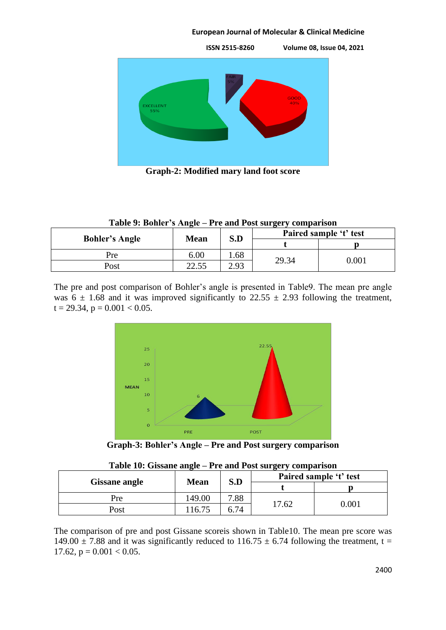

**Graph-2: Modified mary land foot score**

|                       | S.D<br><b>Mean</b> |      | Paired sample 't' test |           |  |
|-----------------------|--------------------|------|------------------------|-----------|--|
| <b>Bohler's Angle</b> |                    |      |                        |           |  |
| Pre                   | 6.00               | . 68 |                        | $0.001\,$ |  |
| Post                  | 22.55              | 2.93 | 29.34                  |           |  |

The pre and post comparison of Bohler's angle is presented in Table9. The mean pre angle was  $6 \pm 1.68$  and it was improved significantly to 22.55  $\pm$  2.93 following the treatment,  $t = 29.34$ ,  $p = 0.001 < 0.05$ .



**Graph-3: Bohler's Angle – Pre and Post surgery comparison**

|                      |        | Paired sample 't' test<br>S.D | <b>Mean</b> | Tuble To: Olbbuile allered Treative Tobeburger (Comparibon |  |
|----------------------|--------|-------------------------------|-------------|------------------------------------------------------------|--|
| <b>Gissane angle</b> |        |                               |             |                                                            |  |
| Pre                  | 149.00 | 7.88                          |             |                                                            |  |
| Post                 | 16.75  | 6.74                          | .7.62       | 0.001                                                      |  |

|  |  |  | Table 10: Gissane angle – Pre and Post surgery comparison |
|--|--|--|-----------------------------------------------------------|
|  |  |  |                                                           |

The comparison of pre and post Gissane scoreis shown in Table10. The mean pre score was 149.00  $\pm$  7.88 and it was significantly reduced to 116.75  $\pm$  6.74 following the treatment, t = 17.62,  $p = 0.001 < 0.05$ .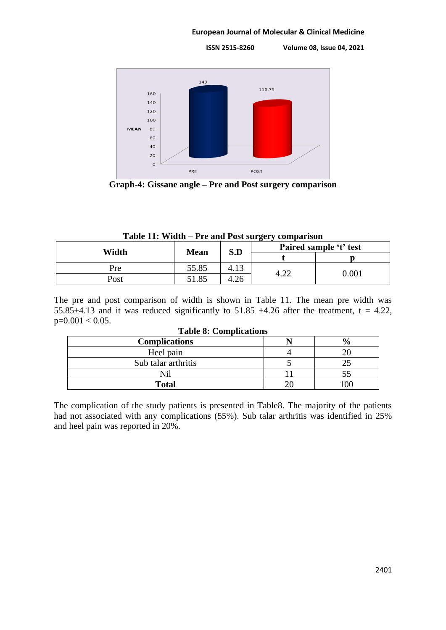**ISSN 2515-8260 Volume 08, Issue 04, 2021**



**Graph-4: Gissane angle – Pre and Post surgery comparison**

|  | Table 11: Width – Pre and Post surgery comparison |  |
|--|---------------------------------------------------|--|
|  |                                                   |  |

| Width | <b>Mean</b> | S.D                 | Paired sample 't' test |           |
|-------|-------------|---------------------|------------------------|-----------|
|       |             |                     |                        |           |
| Pre   | 55.85       | $1^{\circ}$<br>4.15 |                        | $0.001\,$ |
| Post  | 51.85       |                     | ┱.∠∠                   |           |

The pre and post comparison of width is shown in Table 11. The mean pre width was 55.85 $\pm$ 4.13 and it was reduced significantly to 51.85  $\pm$ 4.26 after the treatment, t = 4.22,  $p=0.001 < 0.05$ .

| Tuble of Comphetenoms |  |                       |  |  |  |
|-----------------------|--|-----------------------|--|--|--|
| <b>Complications</b>  |  | $\mathbf{0}_{\alpha}$ |  |  |  |
| Heel pain             |  |                       |  |  |  |
| Sub talar arthritis   |  |                       |  |  |  |
|                       |  |                       |  |  |  |
| <b>Total</b>          |  |                       |  |  |  |

## **Table 8: Complications**

The complication of the study patients is presented in Table8. The majority of the patients had not associated with any complications (55%). Sub talar arthritis was identified in 25% and heel pain was reported in 20%.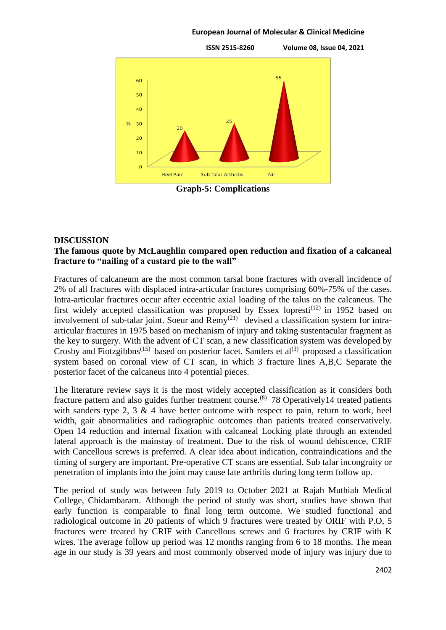

**Graph-5: Complications**

## **DISCUSSION**

## **The famous quote by McLaughlin compared open reduction and fixation of a calcaneal fracture to "nailing of a custard pie to the wall"**

Fractures of calcaneum are the most common tarsal bone fractures with overall incidence of 2% of all fractures with displaced intra-articular fractures comprising 60%-75% of the cases. Intra-articular fractures occur after eccentric axial loading of the talus on the calcaneus. The first widely accepted classification was proposed by Essex lopresti<sup> $(12)$ </sup> in 1952 based on involvement of sub-talar joint. Soeur and Remy<sup>(21)</sup> devised a classification system for intraarticular fractures in 1975 based on mechanism of injury and taking sustentacular fragment as the key to surgery. With the advent of CT scan, a new classification system was developed by Crosby and Fiotzgibbns<sup>(15)</sup> based on posterior facet. Sanders et al<sup>(3)</sup> proposed a classification system based on coronal view of CT scan, in which 3 fracture lines A,B,C Separate the posterior facet of the calcaneus into 4 potential pieces.

The literature review says it is the most widely accepted classification as it considers both fracture pattern and also guides further treatment course.<sup>(8)</sup> 78 Operatively14 treated patients with sanders type 2, 3  $\&$  4 have better outcome with respect to pain, return to work, heel width, gait abnormalities and radiographic outcomes than patients treated conservatively. Open 14 reduction and internal fixation with calcaneal Locking plate through an extended lateral approach is the mainstay of treatment. Due to the risk of wound dehiscence, CRIF with Cancellous screws is preferred. A clear idea about indication, contraindications and the timing of surgery are important. Pre-operative CT scans are essential. Sub talar incongruity or penetration of implants into the joint may cause late arthritis during long term follow up.

The period of study was between July 2019 to October 2021 at Rajah Muthiah Medical College, Chidambaram. Although the period of study was short, studies have shown that early function is comparable to final long term outcome. We studied functional and radiological outcome in 20 patients of which 9 fractures were treated by ORIF with P.O, 5 fractures were treated by CRIF with Cancellous screws and 6 fractures by CRIF with K wires. The average follow up period was 12 months ranging from 6 to 18 months. The mean age in our study is 39 years and most commonly observed mode of injury was injury due to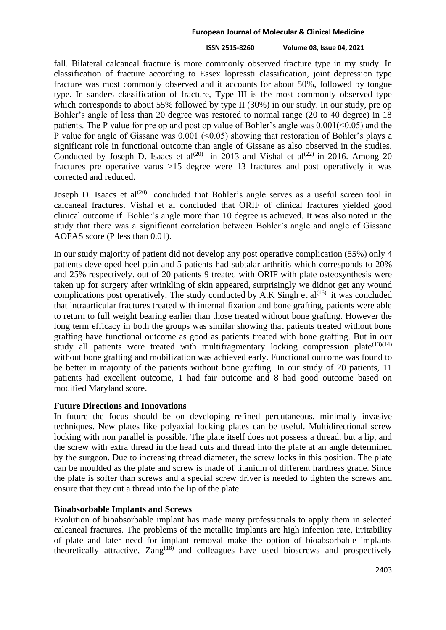## **ISSN 2515-8260 Volume 08, Issue 04, 2021**

fall. Bilateral calcaneal fracture is more commonly observed fracture type in my study. In classification of fracture according to Essex lopressti classification, joint depression type fracture was most commonly observed and it accounts for about 50%, followed by tongue type. In sanders classification of fracture, Type III is the most commonly observed type which corresponds to about 55% followed by type II (30%) in our study. In our study, pre op Bohler's angle of less than 20 degree was restored to normal range (20 to 40 degree) in 18 patients. The P value for pre op and post op value of Bohler's angle was  $0.001(-0.05)$  and the P value for angle of Gissane was  $0.001$  (<0.05) showing that restoration of Bohler's plays a significant role in functional outcome than angle of Gissane as also observed in the studies. Conducted by Joseph D. Isaacs et al<sup>(20)</sup> in 2013 and Vishal et al<sup>(22)</sup> in 2016. Among 20 fractures pre operative varus >15 degree were 13 fractures and post operatively it was corrected and reduced.

Joseph D. Isaacs et al<sup>(20)</sup> concluded that Bohler's angle serves as a useful screen tool in calcaneal fractures. Vishal et al concluded that ORIF of clinical fractures yielded good clinical outcome if Bohler's angle more than 10 degree is achieved. It was also noted in the study that there was a significant correlation between Bohler's angle and angle of Gissane AOFAS score (P less than 0.01).

In our study majority of patient did not develop any post operative complication (55%) only 4 patients developed heel pain and 5 patients had subtalar arthritis which corresponds to 20% and 25% respectively. out of 20 patients 9 treated with ORIF with plate osteosynthesis were taken up for surgery after wrinkling of skin appeared, surprisingly we didnot get any wound complications post operatively. The study conducted by A.K Singh et  $al^{(16)}$  it was concluded that intraarticular fractures treated with internal fixation and bone grafting, patients were able to return to full weight bearing earlier than those treated without bone grafting. However the long term efficacy in both the groups was similar showing that patients treated without bone grafting have functional outcome as good as patients treated with bone grafting. But in our study all patients were treated with multifragmentary locking compression plate $(13)(14)$ without bone grafting and mobilization was achieved early. Functional outcome was found to be better in majority of the patients without bone grafting. In our study of 20 patients, 11 patients had excellent outcome, 1 had fair outcome and 8 had good outcome based on modified Maryland score.

## **Future Directions and Innovations**

In future the focus should be on developing refined percutaneous, minimally invasive techniques. New plates like polyaxial locking plates can be useful. Multidirectional screw locking with non parallel is possible. The plate itself does not possess a thread, but a lip, and the screw with extra thread in the head cuts and thread into the plate at an angle determined by the surgeon. Due to increasing thread diameter, the screw locks in this position. The plate can be moulded as the plate and screw is made of titanium of different hardness grade. Since the plate is softer than screws and a special screw driver is needed to tighten the screws and ensure that they cut a thread into the lip of the plate.

## **Bioabsorbable Implants and Screws**

Evolution of bioabsorbable implant has made many professionals to apply them in selected calcaneal fractures. The problems of the metallic implants are high infection rate, irritability of plate and later need for implant removal make the option of bioabsorbable implants theoretically attractive,  $\text{Zang}^{\{18\}}$  and colleagues have used bioscrews and prospectively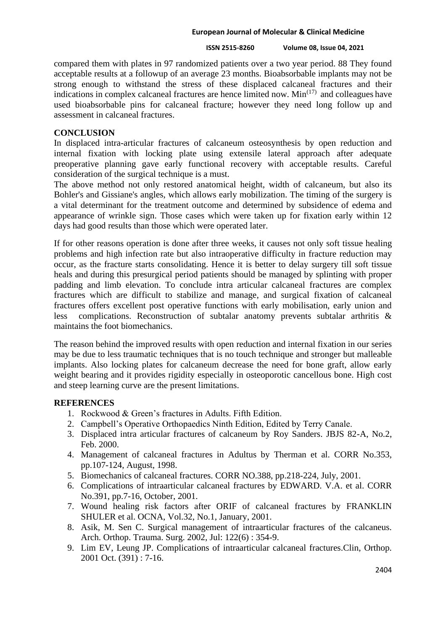### **ISSN 2515-8260 Volume 08, Issue 04, 2021**

compared them with plates in 97 randomized patients over a two year period. 88 They found acceptable results at a followup of an average 23 months. Bioabsorbable implants may not be strong enough to withstand the stress of these displaced calcaneal fractures and their indications in complex calcaneal fractures are hence limited now.  $Min<sup>(17)</sup>$  and colleagues have used bioabsorbable pins for calcaneal fracture; however they need long follow up and assessment in calcaneal fractures.

## **CONCLUSION**

In displaced intra-articular fractures of calcaneum osteosynthesis by open reduction and internal fixation with locking plate using extensile lateral approach after adequate preoperative planning gave early functional recovery with acceptable results. Careful consideration of the surgical technique is a must.

The above method not only restored anatomical height, width of calcaneum, but also its Bohler's and Gissiane's angles, which allows early mobilization. The timing of the surgery is a vital determinant for the treatment outcome and determined by subsidence of edema and appearance of wrinkle sign. Those cases which were taken up for fixation early within 12 days had good results than those which were operated later.

If for other reasons operation is done after three weeks, it causes not only soft tissue healing problems and high infection rate but also intraoperative difficulty in fracture reduction may occur, as the fracture starts consolidating. Hence it is better to delay surgery till soft tissue heals and during this presurgical period patients should be managed by splinting with proper padding and limb elevation. To conclude intra articular calcaneal fractures are complex fractures which are difficult to stabilize and manage, and surgical fixation of calcaneal fractures offers excellent post operative functions with early mobilisation, early union and less complications. Reconstruction of subtalar anatomy prevents subtalar arthritis & maintains the foot biomechanics.

The reason behind the improved results with open reduction and internal fixation in our series may be due to less traumatic techniques that is no touch technique and stronger but malleable implants. Also locking plates for calcaneum decrease the need for bone graft, allow early weight bearing and it provides rigidity especially in osteoporotic cancellous bone. High cost and steep learning curve are the present limitations.

## **REFERENCES**

- 1. Rockwood & Green's fractures in Adults. Fifth Edition.
- 2. Campbell's Operative Orthopaedics Ninth Edition, Edited by Terry Canale.
- 3. Displaced intra articular fractures of calcaneum by Roy Sanders. JBJS 82-A, No.2, Feb. 2000.
- 4. Management of calcaneal fractures in Adultus by Therman et al. CORR No.353, pp.107-124, August, 1998.
- 5. Biomechanics of calcaneal fractures. CORR NO.388, pp.218-224, July, 2001.
- 6. Complications of intraarticular calcaneal fractures by EDWARD. V.A. et al. CORR No.391, pp.7-16, October, 2001.
- 7. Wound healing risk factors after ORIF of calcaneal fractures by FRANKLIN SHULER et al. OCNA, Vol.32, No.1, January, 2001.
- 8. Asik, M. Sen C. Surgical management of intraarticular fractures of the calcaneus. Arch. Orthop. Trauma. Surg. 2002, Jul: 122(6) : 354-9.
- 9. Lim EV, Leung JP. Complications of intraarticular calcaneal fractures.Clin, Orthop. 2001 Oct. (391) : 7-16.